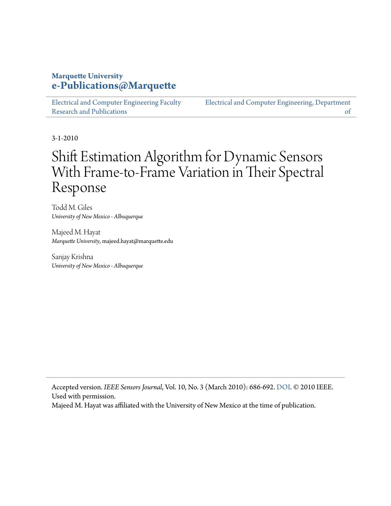#### **Marquette University [e-Publications@Marquette](https://epublications.marquette.edu)**

[Electrical and Computer Engineering Faculty](https://epublications.marquette.edu/electric_fac) [Research and Publications](https://epublications.marquette.edu/electric_fac)

[Electrical and Computer Engineering, Department](https://epublications.marquette.edu/electric) [of](https://epublications.marquette.edu/electric)

3-1-2010

## Shift Estimation Algorithm for Dynamic Sensors With Frame-to-Frame Variation in Their Spectral Response

Todd M. Giles *University of New Mexico - Albuquerque*

Majeed M. Hayat *Marquette University*, majeed.hayat@marquette.edu

Sanjay Krishna *University of New Mexico - Albuquerque*

Accepted version. *IEEE Sensors Journal*, Vol. 10, No. 3 (March 2010): 686-692. [DOI.](https://doi.org/10.1109/JSEN.2009.2037805) © 2010 IEEE. Used with permission.

Majeed M. Hayat was affiliated with the University of New Mexico at the time of publication.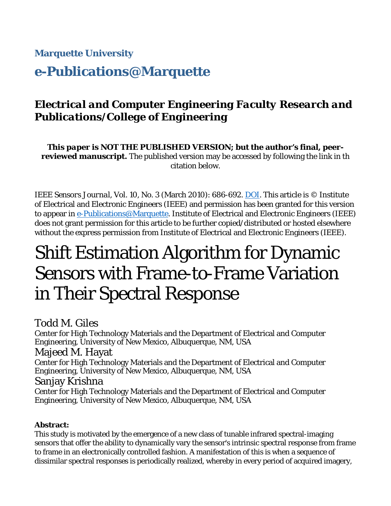#### **Marquette University**

## **e-Publications@Marquette**

## *Electrical and Computer Engineering Faculty Research and Publications/College of Engineering*

*This paper is NOT THE PUBLISHED VERSION;* **but the author's final, peerreviewed manuscript.** The published version may be accessed by following the link in th citation below.

*IEEE Sensors Journal*, Vol. 10, No. 3 (March 2010): 686-692. **DOI**. This article is  $\circ$  Institute of Electrical and Electronic Engineers (IEEE) and permission has been granted for this version to appear in [e-Publications@Marquette.](http://epublications.marquette.edu/) Institute of Electrical and Electronic Engineers (IEEE) does not grant permission for this article to be further copied/distributed or hosted elsewhere without the express permission from Institute of Electrical and Electronic Engineers (IEEE).

# Shift Estimation Algorithm for Dynamic Sensors with Frame-to-Frame Variation in Their Spectral Response

Todd M. Giles Center for High Technology Materials and the Department of Electrical and Computer Engineering, University of New Mexico, Albuquerque, NM, USA Majeed M. Hayat Center for High Technology Materials and the Department of Electrical and Computer Engineering, University of New Mexico, Albuquerque, NM, USA Sanjay Krishna Center for High Technology Materials and the Department of Electrical and Computer Engineering, University of New Mexico, Albuquerque, NM, USA

#### **Abstract:**

This study is motivated by the emergence of a new class of tunable infrared spectral-imaging sensors that offer the ability to dynamically vary the sensor's intrinsic spectral response from frame to frame in an electronically controlled fashion. A manifestation of this is when a sequence of dissimilar spectral responses is periodically realized, whereby in every period of acquired imagery,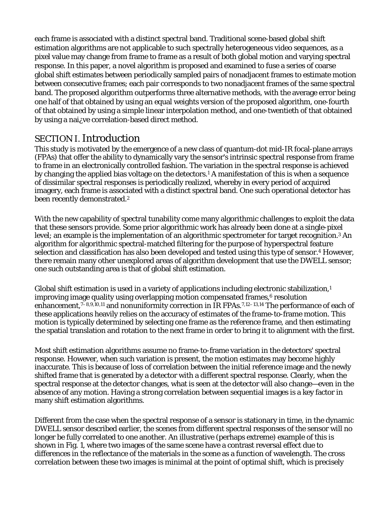each frame is associated with a distinct spectral band. Traditional scene-based global shift estimation algorithms are not applicable to such spectrally heterogeneous video sequences, as a pixel value may change from frame to frame as a result of both global motion and varying spectral response. In this paper, a novel algorithm is proposed and examined to fuse a series of coarse global shift estimates between periodically sampled pairs of nonadjacent frames to estimate motion between consecutive frames; each pair corresponds to two nonadjacent frames of the same spectral band. The proposed algorithm outperforms three alternative methods, with the average error being one half of that obtained by using an equal weights version of the proposed algorithm, one-fourth of that obtained by using a simple linear interpolation method, and one-twentieth of that obtained by using a nai¿ve correlation-based direct method.

#### SECTION I. Introduction

This study is motivated by the emergence of a new class of quantum-dot mid-IR focal-plane arrays (FPAs) that offer the ability to dynamically vary the sensor's intrinsic spectral response from frame to frame in an electronically controlled fashion. The variation in the spectral response is achieved by changing the applied bias voltage on the detectors.1 A manifestation of this is when a sequence of dissimilar spectral responses is periodically realized, whereby in every period of acquired imagery, each frame is associated with a distinct spectral band. One such operational detector has been recently demonstrated.<sup>2</sup>

With the new capability of spectral tunability come many algorithmic challenges to exploit the data that these sensors provide. Some prior algorithmic work has already been done at a single-pixel level; an example is the implementation of an algorithmic spectrometer for target recognition.3 An algorithm for algorithmic spectral-matched filtering for the purpose of hyperspectral feature selection and classification has also been developed and tested using this type of sensor.4 However, there remain many other unexplored areas of algorithm development that use the DWELL sensor; one such outstanding area is that of global shift estimation.

Global shift estimation is used in a variety of applications including electronic stabilization, $<sup>1</sup>$ </sup> improving image quality using overlapping motion compensated frames,<sup>6</sup> resolution enhancement,<sup>7–8,9,10,11</sup> and nonuniformity correction in IR FPAs.<sup>7,12–13,14</sup> The performance of each of these applications heavily relies on the accuracy of estimates of the frame-to-frame motion. This motion is typically determined by selecting one frame as the reference frame, and then estimating the spatial translation and rotation to the next frame in order to bring it to alignment with the first.

Most shift estimation algorithms assume no frame-to-frame variation in the detectors' spectral response. However, when such variation is present, the motion estimates may become highly inaccurate. This is because of loss of correlation between the initial reference image and the newly shifted frame that is generated by a detector with a different spectral response. Clearly, when the spectral response at the detector changes, what is seen at the detector will also change—even in the absence of any motion. Having a strong correlation between sequential images is a key factor in many shift estimation algorithms.

Different from the case when the spectral response of a sensor is stationary in time, in the dynamic DWELL sensor described earlier, the scenes from different spectral responses of the sensor will no longer be fully correlated to one another. An illustrative (perhaps extreme) example of this is shown in Fig. 1, where two images of the same scene have a contrast reversal effect due to differences in the reflectance of the materials in the scene as a function of wavelength. The cross correlation between these two images is minimal at the point of optimal shift, which is precisely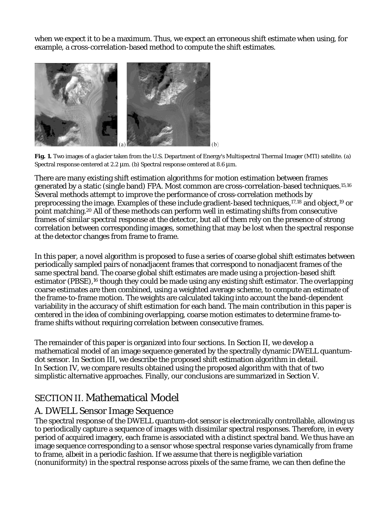when we expect it to be a maximum. Thus, we expect an erroneous shift estimate when using, for example, a cross-correlation-based method to compute the shift estimates.



**Fig. 1.** Two images of a glacier taken from the U.S. Department of Energy's Multispectral Thermal Imager (MTI) satellite. (a) Spectral response centered at 2.2 μm. (b) Spectral response centered at 8.6 μm.

There are many existing shift estimation algorithms for motion estimation between frames generated by a static (single band) FPA. Most common are cross-correlation-based techniques.15,16 Several methods attempt to improve the performance of cross-correlation methods by preprocessing the image. Examples of these include gradient-based techniques,17,18 and object,19 or point matching.20 All of these methods can perform well in estimating shifts from consecutive frames of similar spectral response at the detector, but all of them rely on the presence of strong correlation between corresponding images, something that may be lost when the spectral response at the detector changes from frame to frame.

In this paper, a novel algorithm is proposed to fuse a series of coarse global shift estimates between periodically sampled pairs of nonadjacent frames that correspond to nonadjacent frames of the same spectral band. The coarse global shift estimates are made using a projection-based shift estimator (PBSE),16 though they could be made using any existing shift estimator. The overlapping coarse estimates are then combined, using a weighted average scheme, to compute an estimate of the frame-to-frame motion. The weights are calculated taking into account the band-dependent variability in the accuracy of shift estimation for each band. The main contribution in this paper is centered in the idea of combining overlapping, coarse motion estimates to determine frame-toframe shifts without requiring correlation between consecutive frames.

The remainder of this paper is organized into four sections. In Section II, we develop a mathematical model of an image sequence generated by the spectrally dynamic DWELL quantumdot sensor. In Section III, we describe the proposed shift estimation algorithm in detail. In Section IV, we compare results obtained using the proposed algorithm with that of two simplistic alternative approaches. Finally, our conclusions are summarized in Section V.

## SECTION II. Mathematical Model

#### A. DWELL Sensor Image Sequence

The spectral response of the DWELL quantum-dot sensor is electronically controllable, allowing us to periodically capture a sequence of images with dissimilar spectral responses. Therefore, in every period of acquired imagery, each frame is associated with a distinct spectral band. We thus have an image sequence corresponding to a sensor whose spectral response varies dynamically from frame to frame, albeit in a periodic fashion. If we assume that there is negligible variation (nonuniformity) in the spectral response across pixels of the same frame, we can then define the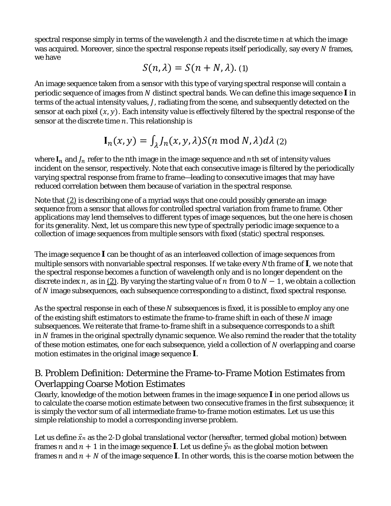spectral response simply in terms of the wavelength  $\lambda$  and the discrete time  $n$  at which the image was acquired. Moreover, since the spectral response repeats itself periodically, say every  $N$  frames, we have

$$
S(n,\lambda) = S(n+N,\lambda).
$$
 (1)

An image sequence taken from a sensor with this type of varying spectral response will contain a periodic sequence of images from N distinct spectral bands. We can define this image sequence **I** in terms of the actual intensity values, *J*, radiating from the scene, and subsequently detected on the sensor at each pixel  $(x, y)$ . Each intensity value is effectively filtered by the spectral response of the sensor at the discrete time  $n$ . This relationship is

$$
\mathbf{I}_n(x, y) = \int_{\lambda} J_n(x, y, \lambda) S(n \text{ mod } N, \lambda) d\lambda \tag{2}
$$

where  $I_n$  and  $I_n$  refer to the nth image in the image sequence and nth set of intensity values incident on the sensor, respectively. Note that each consecutive image is filtered by the periodically varying spectral response from frame to frame—leading to consecutive images that may have reduced correlation between them because of variation in the spectral response.

Note that [\(2\)](https://ieeexplore.ieee.org/document/#deqn2) is describing one of a myriad ways that one could possibly generate an image sequence from a sensor that allows for controlled spectral variation from frame to frame. Other applications may lend themselves to different types of image sequences, but the one here is chosen for its generality. Next, let us compare this new type of spectrally periodic image sequence to a collection of image sequences from multiple sensors with fixed (static) spectral responses.

The image sequence **I** can be thought of as an interleaved collection of image sequences from multiple sensors with nonvariable spectral responses. If we take every Nth frame of **I**, we note that the spectral response becomes a function of wavelength only and is no longer dependent on the discrete index *n*, as in [\(2\).](https://ieeexplore.ieee.org/document/#deqn2) By varying the starting value of *n* from 0 to  $N - 1$ , we obtain a collection of N image subsequences, each subsequence corresponding to a distinct, fixed spectral response.

As the spectral response in each of these  $N$  subsequences is fixed, it is possible to employ any one of the existing shift estimators to estimate the frame-to-frame shift in each of these  $N$  image subsequences. We reiterate that frame-to-frame shift in a subsequence corresponds to a shift in  $N$  frames in the original spectrally dynamic sequence. We also remind the reader that the totality of these motion estimates, one for each subsequence, yield a collection of  $N$  overlapping and coarse motion estimates in the original image sequence **I**.

#### B. Problem Definition: Determine the Frame-to-Frame Motion Estimates from Overlapping Coarse Motion Estimates

Clearly, knowledge of the motion between frames in the image sequence **I** in one period allows us to calculate the coarse motion estimate between two consecutive frames in the first subsequence; it is simply the vector sum of all intermediate frame-to-frame motion estimates. Let us use this simple relationship to model a corresponding inverse problem.

Let us define  $\vec{x}_n$  as the 2-D global translational vector (hereafter, termed global motion) between frames *n* and  $n + 1$  in the image sequence **I**. Let us define  $\vec{y}_n$  as the global motion between frames *n* and  $n + N$  of the image sequence **I**. In other words, this is the coarse motion between the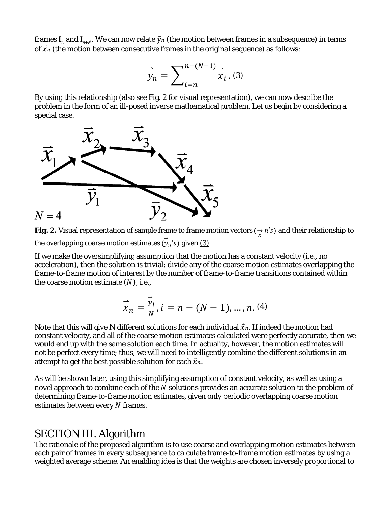frames  $I_n$  and  $I_{n+N}$ . We can now relate  $\vec{y}_n$  (the motion between frames in a subsequence) in terms of  $\vec{x}_n$  (the motion between consecutive frames in the original sequence) as follows:

$$
\overrightarrow{y}_n = \sum_{i=n}^{n+(N-1)} \overrightarrow{x}_i . (3)
$$

By using this relationship (also see Fig. 2 for visual representation), we can now describe the problem in the form of an ill-posed inverse mathematical problem. Let us begin by considering a special case.



**Fig. 2.** Visual representation of sample frame to frame motion vectors  $(\frac{\rightarrow}{x}n's)$  and their relationship to the overlapping coarse motion estimates  $(\vec{y}_n's)$  given <u>(3)</u>.

If we make the oversimplifying assumption that the motion has a constant velocity (i.e., no acceleration), then the solution is trivial: divide any of the coarse motion estimates overlapping the frame-to-frame motion of interest by the number of frame-to-frame transitions contained within the coarse motion estimate  $(N)$ , i.e.,

$$
\vec{x}_n = \frac{\vec{y}_i}{N}, i = n - (N - 1), \dots, n.
$$
 (4)

Note that this will give N different solutions for each individual  $\vec{x}_n$ . If indeed the motion had constant velocity, and all of the coarse motion estimates calculated were perfectly accurate, then we would end up with the same solution each time. In actuality, however, the motion estimates will not be perfect every time; thus, we will need to intelligently combine the different solutions in an attempt to get the best possible solution for each  $\vec{x}_n$ .

As will be shown later, using this simplifying assumption of constant velocity, as well as using a novel approach to combine each of the  $N$  solutions provides an accurate solution to the problem of determining frame-to-frame motion estimates, given only periodic overlapping coarse motion estimates between every  $N$  frames.

#### SECTION III. Algorithm

The rationale of the proposed algorithm is to use coarse and overlapping motion estimates between each pair of frames in every subsequence to calculate frame-to-frame motion estimates by using a weighted average scheme. An enabling idea is that the weights are chosen inversely proportional to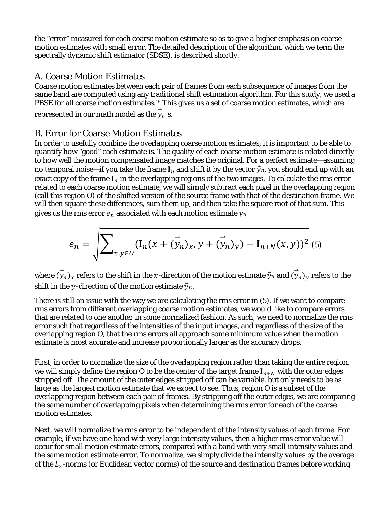the "error" measured for each coarse motion estimate so as to give a higher emphasis on coarse motion estimates with small error. The detailed description of the algorithm, which we term the spectrally dynamic shift estimator (SDSE), is described shortly.

#### A. Coarse Motion Estimates

Coarse motion estimates between each pair of frames from each subsequence of images from the same band are computed using any traditional shift estimation algorithm. For this study, we used a PBSE for all coarse motion estimates.<sup>16</sup> This gives us a set of coarse motion estimates, which are

represented in our math model as the  $\vec{y}_n$ 's.

#### B. Error for Coarse Motion Estimates

In order to usefully combine the overlapping coarse motion estimates, it is important to be able to quantify how "good" each estimate is. The quality of each coarse motion estimate is related directly to how well the motion compensated image matches the original. For a perfect estimate—assuming no temporal noise—if you take the frame  $I_n$  and shift it by the vector  $\vec{y}_n$ , you should end up with an exact copy of the frame  $I_n$  in the overlapping regions of the two images. To calculate the rms error related to each coarse motion estimate, we will simply subtract each pixel in the overlapping region (call this region O) of the shifted version of the source frame with that of the destination frame. We will then square these differences, sum them up, and then take the square root of that sum. This gives us the rms error  $e_n$  associated with each motion estimate  $\vec{y}_n$ 

$$
e_n = \sqrt{\sum_{x,y \in O} (\mathbf{I}_n(x + \overrightarrow{y}_n)_x, y + \overrightarrow{y}_n)_y) - \mathbf{I}_{n+N}(x, y))^2}
$$
 (5)

where  $(\vec{y}_n)_x$  refers to the shift in the  $x$ -direction of the motion estimate  $\vec{y}_n$  and  $(\vec{y}_n)_y$  refers to the shift in the y-direction of the motion estimate  $\vec{\gamma}_n$ .

There is still an issue with the way we are calculating the rms error in [\(5\).](https://ieeexplore.ieee.org/document/#deqn5) If we want to compare rms errors from different overlapping coarse motion estimates, we would like to compare errors that are related to one another in some normalized fashion. As such, we need to normalize the rms error such that regardless of the intensities of the input images, and regardless of the size of the overlapping region O, that the rms errors all approach some minimum value when the motion estimate is most accurate and increase proportionally larger as the accuracy drops.

First, in order to normalize the size of the overlapping region rather than taking the entire region, we will simply define the region O to be the center of the target frame  $I_{n+N}$  with the outer edges stripped off. The amount of the outer edges stripped off can be variable, but only needs to be as large as the largest motion estimate that we expect to see. Thus, region O is a subset of the overlapping region between each pair of frames. By stripping off the outer edges, we are comparing the same number of overlapping pixels when determining the rms error for each of the coarse motion estimates.

Next, we will normalize the rms error to be independent of the intensity values of each frame. For example, if we have one band with very large intensity values, then a higher rms error value will occur for small motion estimate errors, compared with a band with very small intensity values and the same motion estimate error. To normalize, we simply divide the intensity values by the average of the  $L_2$ -norms (or Euclidean vector norms) of the source and destination frames before working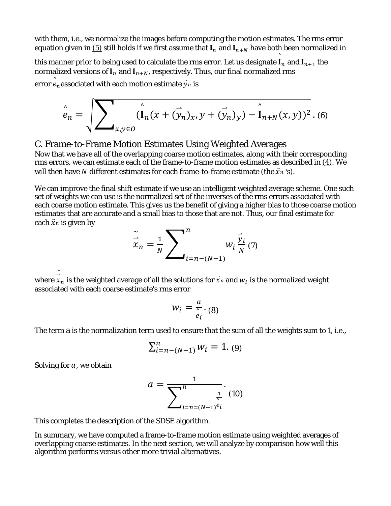with them, i.e., we normalize the images before computing the motion estimates. The rms error equation given in [\(5\)](https://ieeexplore.ieee.org/document/#deqn5) still holds if we first assume that  $I_n$  and  $I_{n+N}$  have both been normalized in

this manner prior to being used to calculate the rms error. Let us designate  $\hat{\mathbf{I}}_n$  and  $\mathbf{I}_{n+1}$  the normalized versions of  $I_n$  and  $I_{n+N}$ , respectively. Thus, our final normalized rms error  $\overset{\circ}{e}_n$ associated with each motion estimate  $\vec{y}_n$  is

$$
\hat{e}_n = \sqrt{\sum_{x,y \in O} (\hat{\mathbf{I}}_n(x + \vec{y}_n)_x, y + \vec{y}_n)_y) - \hat{\mathbf{I}}_{n+N}(x, y))^2}.
$$
 (6)

#### C. Frame-to-Frame Motion Estimates Using Weighted Averages

Now that we have all of the overlapping coarse motion estimates, along with their corresponding rms errors, we can estimate each of the frame-to-frame motion estimates as described in [\(4\).](https://ieeexplore.ieee.org/document/#deqn4) We will then have N different estimates for each frame-to-frame estimate (the  $\vec{x}_n$  's).

We can improve the final shift estimate if we use an intelligent weighted average scheme. One such set of weights we can use is the normalized set of the inverses of the rms errors associated with each coarse motion estimate. This gives us the benefit of giving a higher bias to those coarse motion estimates that are accurate and a small bias to those that are not. Thus, our final estimate for each  $\vec{x}$ <sup>n</sup> is given by

$$
\widetilde{\vec{x}}_n = \frac{1}{N} \sum_{i=n-(N-1)}^n w_i \widetilde{\vec{y}}_i
$$
 (7)

where  $\vec{x}_n$  is the weighted average of all the solutions for  $\vec{x}_n$  and  $w_i$  is the normalized weight associated with each coarse estimate's rms error

$$
W_i=\frac{a}{e_i}\cdot (8)
$$

The term a is the normalization term used to ensure that the sum of all the weights sum to 1, i.e.,

$$
\sum_{i=n-(N-1)}^{n} w_i = 1.
$$
 (9)

Solving for  $a$ , we obtain

 $\tilde{\cdot}$ 

$$
a = \frac{1}{\sum_{i=n=(N-1)}^{n} \frac{1}{\frac{\lambda}{\lambda}}}(10)
$$

This completes the description of the SDSE algorithm.

In summary, we have computed a frame-to-frame motion estimate using weighted averages of overlapping coarse estimates. In the next section, we will analyze by comparison how well this algorithm performs versus other more trivial alternatives.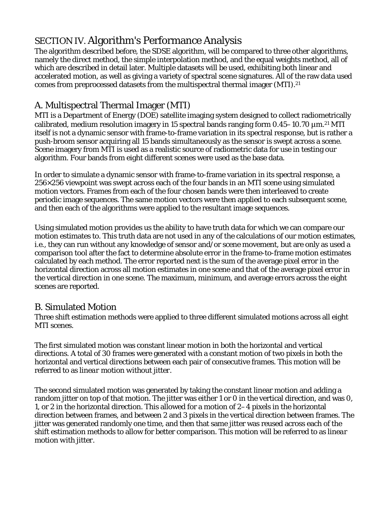## SECTION IV. Algorithm's Performance Analysis

The algorithm described before, the SDSE algorithm, will be compared to three other algorithms, namely the direct method, the simple interpolation method, and the equal weights method, all of which are described in detail later. Multiple datasets will be used, exhibiting both linear and accelerated motion, as well as giving a variety of spectral scene signatures. All of the raw data used comes from preprocessed datasets from the multispectral thermal imager (MTI).21

#### A. Multispectral Thermal Imager (MTI)

MTI is a Department of Energy (DOE) satellite imaging system designed to collect radiometrically calibrated, medium resolution imagery in 15 spectral bands ranging form  $0.45-10.70 \mu m$ <sup>21</sup> MTI itself is not a dynamic sensor with frame-to-frame variation in its spectral response, but is rather a push-broom sensor acquiring all 15 bands simultaneously as the sensor is swept across a scene. Scene imagery from MTI is used as a realistic source of radiometric data for use in testing our algorithm. Four bands from eight different scenes were used as the base data.

In order to simulate a dynamic sensor with frame-to-frame variation in its spectral response, a 256×256 viewpoint was swept across each of the four bands in an MTI scene using simulated motion vectors. Frames from each of the four chosen bands were then interleaved to create periodic image sequences. The same motion vectors were then applied to each subsequent scene, and then each of the algorithms were applied to the resultant image sequences.

Using simulated motion provides us the ability to have truth data for which we can compare our motion estimates to. This truth data are not used in any of the calculations of our motion estimates, i.e., they can run without any knowledge of sensor and/or scene movement, but are only as used a comparison tool after the fact to determine absolute error in the frame-to-frame motion estimates calculated by each method. The error reported next is the sum of the average pixel error in the horizontal direction across all motion estimates in one scene and that of the average pixel error in the vertical direction in one scene. The maximum, minimum, and average errors across the eight scenes are reported.

#### B. Simulated Motion

Three shift estimation methods were applied to three different simulated motions across all eight MTI scenes.

The first simulated motion was constant linear motion in both the horizontal and vertical directions. A total of 30 frames were generated with a constant motion of two pixels in both the horizontal and vertical directions between each pair of consecutive frames. This motion will be referred to as *linear motion without jitter*.

The second simulated motion was generated by taking the constant linear motion and adding a random jitter on top of that motion. The jitter was either 1 or 0 in the vertical direction, and was 0, 1, or 2 in the horizontal direction. This allowed for a motion of 2–4 pixels in the horizontal direction between frames, and between 2 and 3 pixels in the vertical direction between frames. The jitter was generated randomly one time, and then that same jitter was reused across each of the shift estimation methods to allow for better comparison. This motion will be referred to as *linear motion with jitter*.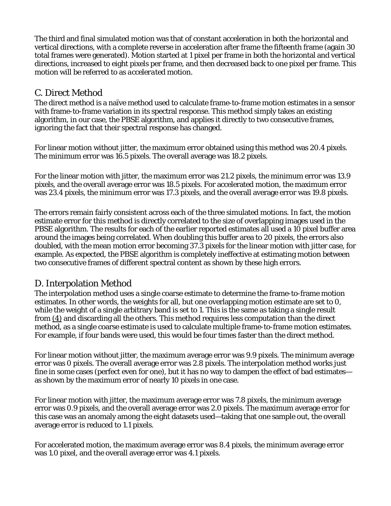The third and final simulated motion was that of constant acceleration in both the horizontal and vertical directions, with a complete reverse in acceleration after frame the fifteenth frame (again 30 total frames were generated). Motion started at 1 pixel per frame in both the horizontal and vertical directions, increased to eight pixels per frame, and then decreased back to one pixel per frame. This motion will be referred to as *accelerated motion*.

#### C. Direct Method

The direct method is a naïve method used to calculate frame-to-frame motion estimates in a sensor with frame-to-frame variation in its spectral response. This method simply takes an existing algorithm, in our case, the PBSE algorithm, and applies it directly to two consecutive frames, ignoring the fact that their spectral response has changed.

For linear motion without jitter, the maximum error obtained using this method was 20.4 pixels. The minimum error was 16.5 pixels. The overall average was 18.2 pixels.

For the linear motion with jitter, the maximum error was 21.2 pixels, the minimum error was 13.9 pixels, and the overall average error was 18.5 pixels. For accelerated motion, the maximum error was 23.4 pixels, the minimum error was 17.3 pixels, and the overall average error was 19.8 pixels.

The errors remain fairly consistent across each of the three simulated motions. In fact, the motion estimate error for this method is directly correlated to the size of overlapping images used in the PBSE algorithm. The results for each of the earlier reported estimates all used a 10 pixel buffer area around the images being correlated. When doubling this buffer area to 20 pixels, the errors also doubled, with the mean motion error becoming 37.3 pixels for the linear motion with jitter case, for example. As expected, the PBSE algorithm is completely ineffective at estimating motion between two consecutive frames of different spectral content as shown by these high errors.

#### D. Interpolation Method

The interpolation method uses a single coarse estimate to determine the frame-to-frame motion estimates. In other words, the weights for all, but one overlapping motion estimate are set to 0, while the weight of a single arbitrary band is set to 1. This is the same as taking a single result from [\(4\)](https://ieeexplore.ieee.org/document/#deqn4) and discarding all the others. This method requires less computation than the direct method, as a single coarse estimate is used to calculate multiple frame-to-frame motion estimates. For example, if four bands were used, this would be four times faster than the direct method.

For linear motion without jitter, the maximum average error was 9.9 pixels. The minimum average error was 0 pixels. The overall average error was 2.8 pixels. The interpolation method works just fine in some cases (perfect even for one), but it has no way to dampen the effect of bad estimates as shown by the maximum error of nearly 10 pixels in one case.

For linear motion with jitter, the maximum average error was 7.8 pixels, the minimum average error was 0.9 pixels, and the overall average error was 2.0 pixels. The maximum average error for this case was an anomaly among the eight datasets used—taking that one sample out, the overall average error is reduced to 1.1 pixels.

For accelerated motion, the maximum average error was 8.4 pixels, the minimum average error was 1.0 pixel, and the overall average error was 4.1 pixels.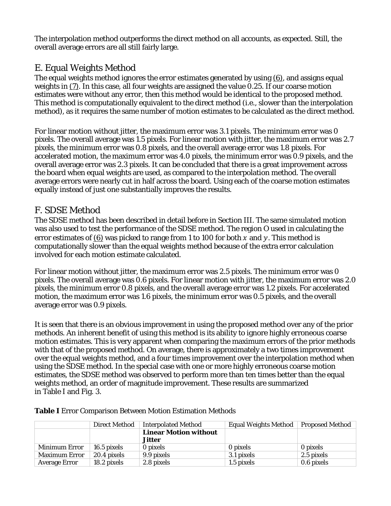The interpolation method outperforms the direct method on all accounts, as expected. Still, the overall average errors are all still fairly large.

#### E. Equal Weights Method

The equal weights method ignores the error estimates generated by using [\(6\),](https://ieeexplore.ieee.org/document/#deqn6) and assigns equal weights in [\(7\).](https://ieeexplore.ieee.org/document/#deqn7) In this case, all four weights are assigned the value 0.25. If our coarse motion estimates were without any error, then this method would be identical to the proposed method. This method is computationally equivalent to the direct method (i.e., slower than the interpolation method), as it requires the same number of motion estimates to be calculated as the direct method.

For linear motion without jitter, the maximum error was 3.1 pixels. The minimum error was 0 pixels. The overall average was 1.5 pixels. For linear motion with jitter, the maximum error was 2.7 pixels, the minimum error was 0.8 pixels, and the overall average error was 1.8 pixels. For accelerated motion, the maximum error was 4.0 pixels, the minimum error was 0.9 pixels, and the overall average error was 2.3 pixels. It can be concluded that there is a great improvement across the board when equal weights are used, as compared to the interpolation method. The overall average errors were nearly cut in half across the board. Using each of the coarse motion estimates equally instead of just one substantially improves the results.

#### F. SDSE Method

The SDSE method has been described in detail before in Section III. The same simulated motion was also used to test the performance of the SDSE method. The region O used in calculating the error estimates of [\(6\)](https://ieeexplore.ieee.org/document/#deqn6) was picked to range from 1 to 100 for both  $x$  and  $y$ . This method is computationally slower than the equal weights method because of the extra error calculation involved for each motion estimate calculated.

For linear motion without jitter, the maximum error was 2.5 pixels. The minimum error was 0 pixels. The overall average was 0.6 pixels. For linear motion with jitter, the maximum error was 2.0 pixels, the minimum error 0.8 pixels, and the overall average error was 1.2 pixels. For accelerated motion, the maximum error was 1.6 pixels, the minimum error was 0.5 pixels, and the overall average error was 0.9 pixels.

It is seen that there is an obvious improvement in using the proposed method over any of the prior methods. An inherent benefit of using this method is its ability to ignore highly erroneous coarse motion estimates. This is very apparent when comparing the maximum errors of the prior methods with that of the proposed method. On average, there is approximately a two times improvement over the equal weights method, and a four times improvement over the interpolation method when using the SDSE method. In the special case with one or more highly erroneous coarse motion estimates, the SDSE method was observed to perform more than ten times better than the equal weights method, an order of magnitude improvement. These results are summarized in Table I and Fig. 3.

|                      | <b>Direct Method</b> | <b>Interpolated Method</b>   | <b>Equal Weights Method</b> | <b>Proposed Method</b> |
|----------------------|----------------------|------------------------------|-----------------------------|------------------------|
|                      |                      | <b>Linear Motion without</b> |                             |                        |
|                      |                      | <b>Jitter</b>                |                             |                        |
| <b>Minimum Error</b> | 16.5 pixels          | 0 pixels                     | 0 pixels                    | 0 pixels               |
| <b>Maximum Error</b> | 20.4 pixels          | 9.9 pixels                   | 3.1 pixels                  | 2.5 pixels             |
| <b>Average Error</b> | 18.2 pixels          | 2.8 pixels                   | 1.5 pixels                  | 0.6 pixels             |

**Table I** Error Comparison Between Motion Estimation Methods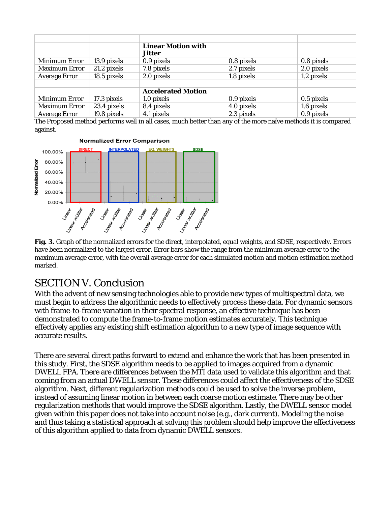|                      |             | <b>Linear Motion with</b><br><b>Jitter</b> |            |            |
|----------------------|-------------|--------------------------------------------|------------|------------|
| <b>Minimum Error</b> | 13.9 pixels | 0.9 pixels                                 | 0.8 pixels | 0.8 pixels |
| <b>Maximum Error</b> | 21.2 pixels | 7.8 pixels                                 | 2.7 pixels | 2.0 pixels |
| <b>Average Error</b> | 18.5 pixels | 2.0 pixels                                 | 1.8 pixels | 1.2 pixels |
|                      |             |                                            |            |            |
|                      |             | <b>Accelerated Motion</b>                  |            |            |
| <b>Minimum Error</b> | 17.3 pixels | 1.0 pixels                                 | 0.9 pixels | 0.5 pixels |
| <b>Maximum Error</b> | 23.4 pixels | 8.4 pixels                                 | 4.0 pixels | 1.6 pixels |
| <b>Average Error</b> | 19.8 pixels | 4.1 pixels                                 | 2.3 pixels | 0.9 pixels |

The Proposed method performs well in all cases, much better than any of the more naïve methods it is compared against[.](https://ieeexplore.ieee.org/mediastore_new/IEEE/content/media/7361/5416584/5419259/5419259-table-1-source-large.gif)



**Fig. 3.** Graph of the normalized errors for the direct, interpolated, equal weights, and SDSE, respectively. Errors have been normalized to the largest error. Error bars show the range from the minimum average error to the maximum average error, with the overall average error for each simulated motion and motion estimation method marked.

### SECTION V. Conclusion

With the advent of new sensing technologies able to provide new types of multispectral data, we must begin to address the algorithmic needs to effectively process these data. For dynamic sensors with frame-to-frame variation in their spectral response, an effective technique has been demonstrated to compute the frame-to-frame motion estimates accurately. This technique effectively applies any existing shift estimation algorithm to a new type of image sequence with accurate results.

There are several direct paths forward to extend and enhance the work that has been presented in this study. First, the SDSE algorithm needs to be applied to images acquired from a dynamic DWELL FPA. There are differences between the MTI data used to validate this algorithm and that coming from an actual DWELL sensor. These differences could affect the effectiveness of the SDSE algorithm. Next, different regularization methods could be used to solve the inverse problem, instead of assuming linear motion in between each coarse motion estimate. There may be other regularization methods that would improve the SDSE algorithm. Lastly, the DWELL sensor model given within this paper does not take into account noise (e.g., dark current). Modeling the noise and thus taking a statistical approach at solving this problem should help improve the effectiveness of this algorithm applied to data from dynamic DWELL sensors.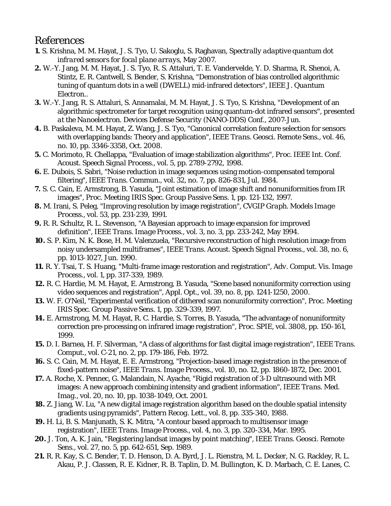#### References

- **1.** S. Krishna, M. M. Hayat, J. S. Tyo, U. Sakoglu, S. Raghavan, *Spectrally adaptive quantum dot infrared sensors for focal plane arrays*, May 2007.
- **2.** W.-Y. Jang, M. M. Hayat, J. S. Tyo, R. S. Attaluri, T. E. Vandervelde, Y. D. Sharma, R. Shenoi, A. Stintz, E. R. Cantwell, S. Bender, S. Krishna, "Demonstration of bias controlled algorithmic tuning of quantum dots in a well (DWELL) mid-infrared detectors", *IEEE J. Quantum Electron.*.
- **3.** W.-Y. Jang, R. S. Attaluri, S. Annamalai, M. M. Hayat, J. S. Tyo, S. Krishna, "Development of an algorithmic spectrometer for target recognition using quantum-dot infrared sensors", *presented at the Nanoelectron. Devices Defense Security (NANO-DDS) Conf.*, 2007-Jun.
- **4.** B. Paskaleva, M. M. Hayat, Z. Wang, J. S. Tyo, "Canonical correlation feature selection for sensors with overlapping bands: Theory and application", *IEEE Trans. Geosci. Remote Sens.*, vol. 46, no. 10, pp. 3346-3358, Oct. 2008.
- **5.** C. Morimoto, R. Chellappa, "Evaluation of image stabilization algorithms", *Proc. IEEE Int. Conf. Acoust. Speech Signal Process.*, vol. 5, pp. 2789-2792, 1998.
- **6.** E. Dubois, S. Sabri, "Noise reduction in image sequences using motion-compensated temporal filtering", *IEEE Trans. Commun.*, vol. 32, no. 7, pp. 826-831, Jul. 1984.
- **7.** S. C. Cain, E. Armstrong, B. Yasuda, "Joint estimation of image shift and nonuniformities from IR images", *Proc. Meeting IRIS Spec. Group Passive Sens. 1*, pp. 121-132, 1997.
- **8.** M. Irani, S. Peleg, "Improving resolution by image registration", *CVGIP Graph. Models Image Process.*, vol. 53, pp. 231-239, 1991.
- **9.** R. R. Schultz, R. L. Stevenson, "A Bayesian approach to image expansion for improved definition", *IEEE Trans. Image Process.*, vol. 3, no. 3, pp. 233-242, May 1994.
- **10.** S. P. Kim, N. K. Bose, H. M. Valenzuela, "Recursive reconstruction of high resolution image from noisy undersampled multiframes", *IEEE Trans. Acoust. Speech Signal Process.*, vol. 38, no. 6, pp. 1013-1027, Jun. 1990.
- **11.** R. Y. Tsai, T. S. Huang, "Multi-frame image restoration and registration", *Adv. Comput. Vis. Image Process.*, vol. 1, pp. 317-339, 1989.
- **12.** R. C. Hardie, M. M. Hayat, E. Armstrong, B. Yasuda, "Scene based nonuniformity correction using video sequences and registration", *Appl. Opt.*, vol. 39, no. 8, pp. 1241-1250, 2000.
- **13.** W. F. O'Neil, "Experimental verification of dithered scan nonuniformity correction", *Proc. Meeting IRIS Spec. Group Passive Sens. 1*, pp. 329-339, 1997.
- **14.** E. Armstrong, M. M. Hayat, R. C. Hardie, S. Torres, B. Yasuda, "The advantage of nonuniformity correction pre-processing on infrared image registration", *Proc. SPIE*, vol. 3808, pp. 150-161, 1999.
- **15.** D. I. Barnea, H. F. Silverman, "A class of algorithms for fast digital image registration", *IEEE Trans. Comput.*, vol. C-21, no. 2, pp. 179-186, Feb. 1972.
- **16.** S. C. Cain, M. M. Hayat, E. E. Armstrong, "Projection-based image registration in the presence of fixed-pattern noise", *IEEE Trans. Image Process.*, vol. 10, no. 12, pp. 1860-1872, Dec. 2001.
- **17.** A. Roche, X. Pennec, G. Malandain, N. Ayache, "Rigid registration of 3-D ultrasound with MR images: A new approach combining intensity and gradient information", *IEEE Trans. Med. Imag.*, vol. 20, no. 10, pp. 1038-1049, Oct. 2001.
- **18.** Z. Jiang, W. Lu, "A new digital image registration algorithm based on the double spatial intensity gradients using pyramids", *Pattern Recog. Lett.*, vol. 8, pp. 335-340, 1988.
- **19.** H. Li, B. S. Manjunath, S. K. Mitra, "A contour based approach to multisensor image registration", *IEEE Trans. Image Process.*, vol. 4, no. 3, pp. 320-334, Mar. 1995.
- **20.** J. Ton, A. K. Jain, "Registering landsat images by point matching", *IEEE Trans. Geosci. Remote Sens.*, vol. 27, no. 5, pp. 642-651, Sep. 1989.
- **21.** R. R. Kay, S. C. Bender, T. D. Henson, D. A. Byrd, J. L. Rienstra, M. L. Decker, N. G. Rackley, R. L. Akau, P. J. Classen, R. E. Kidner, R. B. Taplin, D. M. Bullington, K. D. Marbach, C. E. Lanes, C.